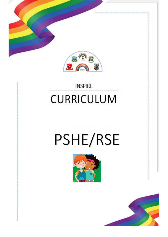

### **INSPIRE CURRICULUM**

# PSHE/RSE



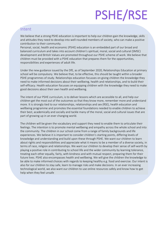## PSHE/RSE

#### Intent

We believe that a strong PSHE education is important to help our children gain the knowledge, skills and attitudes they need to develop into well-rounded members of society, who can make a positive contribution to their community.

Personal, social, health and economic (PSHE) education is an embedded part of our broad and balanced curriculum and takes into account children's spiritual, moral, social and cultural (SMSC) development and British Values are promoted throughout our PSHE scheme of work. We believe that children must be provided with a PSHE education that prepares them for the opportunities, responsibilities and experiences of adult life.

Under the new guidance issued by the DfE, as of September 2020, Relationships Education at primary school will be compulsory. We believe that, to be effective, this should be taught within a broader PSHE programmes of study. Relationships education focusses on giving children the knowledge they need to make informed decisions about their wellbeing, health and relationships, and to build their self-efficacy. Health education focusses on equipping children with the knowledge they need to make good decisions about their own health and wellbeing.

The intent of our PSHE curriculum, is to deliver lessons which are accessible to all, and help our children get the most out of the outcomes so that they know more, remember more and understand more. It is strongly tied to our relationships, relationships and sex (RSE), health education and wellbeing programme and promotes the essential foundations needed to enable children to achieve their best, academically and socially and tackle many of the moral, social and cultural issues that are part of growing up in an ever changing world.

The children will be given the vocabulary and support they need to enable them to articulate their feelings. The intention is to promote mental wellbeing and empathy across the whole school and into the community. The children in our school come from a range of family backgrounds and life experiences. We believe it is important to consider children's starting points, differing levels of knowledge and understanding and build upon these through PSHE. We want our children to learn about rights and responsibilities and appreciate what it means to be a member of a diverse society, in terms of race, religion and relationships. We want our children to develop their sense of self-worth by playing a positive role in contributing to school life and the wider community by learning tolerance, treating each other equally, fairly, with kindness and with mutual respect, preparing them for their future lives. PSHE also encompasses health and wellbeing. We will give the children the knowledge to be able to make informed choices with regards to keeping healthy e.g. food and exercise. Our intent is also for our children to stay safe, learn to manage risks and make decisions. In an ever increasing technological world, we also want our children to use online resources safely and know how to get help when they feel unsafe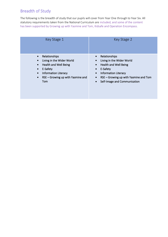#### Breadth of Study

The following is the breadth of study that our pupils will cover from Year One through to Year Six. All statutory requirements taken from the National Curriculum are included, and some of the content has been supported by Growing up with Yasmine and Tom, Kidsafe and Operation Encompass.

| Key Stage 1                                                                                                                                                                                                    | Key Stage 2                                                                                                                                                                                                                                                           |
|----------------------------------------------------------------------------------------------------------------------------------------------------------------------------------------------------------------|-----------------------------------------------------------------------------------------------------------------------------------------------------------------------------------------------------------------------------------------------------------------------|
| Relationships<br>$\bullet$<br>Living in the Wider World<br>Health and Well Being<br>$\bullet$<br>E-Safety<br><b>Information Literacy</b><br>$\bullet$<br>RSE – Growing up with Yasmine and<br>$\bullet$<br>Tom | Relationships<br>$\bullet$<br>Living in the Wider World<br>Health and Well Being<br>$\bullet$<br>E-Safety<br>$\bullet$<br><b>Information Literacy</b><br>$\bullet$<br>RSE - Growing up with Yasmine and Tom<br>$\bullet$<br>Self-Image and Communication<br>$\bullet$ |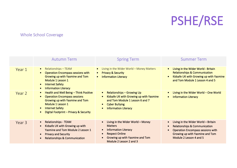PSHE/RSE

#### Whole School Coverage

|        | <b>Autumn Term</b>                                                                                                                                                                                                                  | <b>Spring Term</b>                                                                                                                                                                                | <b>Summer Term</b>                                                                                                                                                                        |
|--------|-------------------------------------------------------------------------------------------------------------------------------------------------------------------------------------------------------------------------------------|---------------------------------------------------------------------------------------------------------------------------------------------------------------------------------------------------|-------------------------------------------------------------------------------------------------------------------------------------------------------------------------------------------|
| Year 1 | Relationships - TEAM<br>$\bullet$<br><b>Operation Encompass sessions with</b><br>Growing up with Yasmine and Tom<br>Module 1 Lesson 1<br><b>Internet Safety</b><br>$\bullet$<br><b>Information Literacy</b><br>$\bullet$            | Living in the Wider World - Money Matters<br><b>Privacy &amp; Security</b><br>$\bullet$<br><b>Information Literacy</b><br>$\bullet$                                                               | Living in the Wider World - Britain<br><b>Relationships &amp; Communication</b><br>Kidsafe UK with Growing up with Yasmine<br>and Tom Module 1 Lesson 4 and 5                             |
| Year 2 | Health and Well Being - Think Positive<br>$\bullet$<br><b>Operation Encompass sessions</b><br>Growing up with Yasmine and Tom<br>Module 1 Lesson 1<br><b>Internet Safety</b><br>$\bullet$<br>Digital Footprint - Privacy & Security | <b>Relationships - Growing Up</b><br>$\bullet$<br>Kidsafe UK with Growing up with Yasmine<br>$\bullet$<br>and Tom Module 1 Lesson 6 and 7<br><b>Cyber Bullying</b><br><b>Information Literacy</b> | Living in the Wider World – One World<br><b>Information Literacy</b><br>$\bullet$                                                                                                         |
| Year 3 | <b>Relationships - TEAM</b><br>$\bullet$<br>Kidsafe UK with Growing up with<br>$\bullet$<br>Yasmine and Tom Module 2 Lesson 1<br><b>Privacy and Security</b><br>$\bullet$<br><b>Relationships &amp; Communication</b>               | Living in the Wider World - Money<br><b>Matters</b><br><b>Information Literacy</b><br><b>Respect Online</b><br>Growing up with Yasmine and Tom<br>Module 2 Lesson 2 and 3                         | Living in the Wider World - Britain<br><b>Relationships &amp; Communication</b><br><b>Operation Encompass sessions with</b><br>Growing up with Yasmine and Tom<br>Module 2 Lesson 4 and 5 |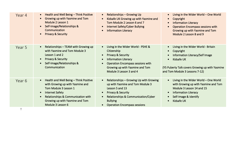| Year 4 | Health and Well Being - Think Positive<br>$\bullet$<br>Growing up with Yasmine and Tom<br>$\bullet$<br>Module 2 Lesson 1<br>Self-Image/Relationships &<br>$\bullet$<br>Communication<br><b>Privacy &amp; Security</b><br>$\bullet$                                 | <b>Relationships - Growing Up</b><br>$\bullet$<br>Kidsafe UK Growing up with Yasmine and<br>Tom Module 2 Lesson 6 and 7<br><b>Internet Safety/Cyber Bullying</b><br><b>Information Literacy</b>                                  | Living in the Wider World - One World<br>Copyright<br>$\bullet$<br><b>Information Literacy</b><br><b>Operation Encompass sessions with</b><br>Growing up with Yasmine and Tom<br>Module 2 Lesson 8 and 9 |
|--------|--------------------------------------------------------------------------------------------------------------------------------------------------------------------------------------------------------------------------------------------------------------------|----------------------------------------------------------------------------------------------------------------------------------------------------------------------------------------------------------------------------------|----------------------------------------------------------------------------------------------------------------------------------------------------------------------------------------------------------|
| Year 5 | Relationships - TEAM with Growing up<br>$\bullet$<br>with Yasmine and Tom Module 3<br>Lesson 1 and 2<br><b>Privacy &amp; Security</b><br>$\bullet$<br>Self-Image/Relationships &<br>$\bullet$<br>Communication                                                     | Living in the Wider World - PSHE &<br>Citizenship<br><b>Privacy &amp; Security</b><br><b>Information Literacy</b><br><b>Operation Encompass sessions with</b><br>Growing up with Yasmine and Tom<br>Module 3 Lesson 3 and 4      | Living in the Wider World - Britain<br>Copyright<br>$\bullet$<br>Information Literacy/Self Image<br>Kidsafe UK<br>(Y5 Puberty Talk covers Growing up with Yasmine<br>and Tom Module 3 Lessons 7-12)      |
| Year 6 | Health and Well Being - Think Positive<br>$\bullet$<br>with Growing up with Yasmine and<br>Tom Module 3 Lesson 1<br><b>Internet Safety</b><br>$\bullet$<br>Relationships & Communication with<br>$\bullet$<br>Growing up with Yasmine and Tom<br>Module 3 Lesson 6 | Relationships - Growing Up with Growing<br>up with Yasmine and Tom Module 3<br>Lesson 5 and 13<br><b>Privacy &amp; Security</b><br>Relationships & Communication/Cyber<br><b>Bullying</b><br><b>Operation Encompass sessions</b> | Living in the Wider World - One World<br>with Growing up with Yasmine and Tom<br>Module 3 Lesson 14 and 15<br><b>Information Literacy</b><br>Self-Image & Identify<br>Kidsafe UK                         |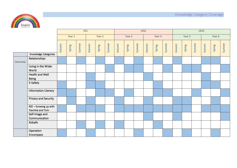

|          |                                          | KS1    |        |        |        |        | LKS2   |        |        |        |        |        |        | UKS2   |        |        |        |        |        |
|----------|------------------------------------------|--------|--------|--------|--------|--------|--------|--------|--------|--------|--------|--------|--------|--------|--------|--------|--------|--------|--------|
|          |                                          | Year 1 |        | Year 2 |        | Year 3 |        |        | Year 4 |        |        | Year 5 |        |        | Year 6 |        |        |        |        |
|          |                                          | Autumn | Spring | Summer | Autumn | Spring | Summer | Autumn | Spring | Summer | Autumn | Spring | Summer | Autumn | Spring | Summer | Autumn | Spring | Summer |
|          | Knowledge Categories                     |        |        |        |        |        |        |        |        |        |        |        |        |        |        |        |        |        |        |
| Overview | Relationships                            |        |        |        |        |        |        |        |        |        |        |        |        |        |        |        |        |        |        |
|          | Living in the Wider<br>World             |        |        |        |        |        |        |        |        |        |        |        |        |        |        |        |        |        |        |
|          | Health and Well<br>Being                 |        |        |        |        |        |        |        |        |        |        |        |        |        |        |        |        |        |        |
|          | E-Safety                                 |        |        |        |        |        |        |        |        |        |        |        |        |        |        |        |        |        |        |
|          | <b>Information Literacy</b>              |        |        |        |        |        |        |        |        |        |        |        |        |        |        |        |        |        |        |
|          | Privacy and Security                     |        |        |        |        |        |        |        |        |        |        |        |        |        |        |        |        |        |        |
|          | RSE - Growing up with<br>Yasmine and Tom |        |        |        |        |        |        |        |        |        |        |        |        |        |        |        |        |        |        |
|          | Self-Image and<br>Communication          |        |        |        |        |        |        |        |        |        |        |        |        |        |        |        |        |        |        |
|          | Kidsafe                                  |        |        |        |        |        |        |        |        |        |        |        |        |        |        |        |        |        |        |
|          | Operation<br>Encompass                   |        |        |        |        |        |        |        |        |        |        |        |        |        |        |        |        |        |        |